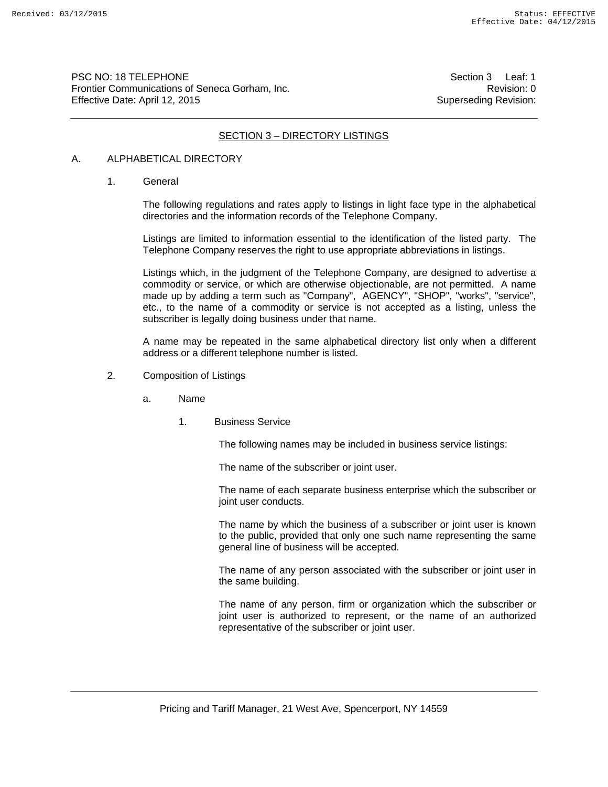PSC NO: 18 TELEPHONE Section 3 Leaf: 1 Frontier Communications of Seneca Gorham, Inc. **Revision: 0** Revision: 0 Effective Date: April 12, 2015 Superseding Revision:

## SECTION 3 – DIRECTORY LISTINGS

# A. ALPHABETICAL DIRECTORY

1. General

The following regulations and rates apply to listings in light face type in the alphabetical directories and the information records of the Telephone Company.

Listings are limited to information essential to the identification of the listed party. The Telephone Company reserves the right to use appropriate abbreviations in listings.

Listings which, in the judgment of the Telephone Company, are designed to advertise a commodity or service, or which are otherwise objectionable, are not permitted. A name made up by adding a term such as "Company", AGENCY", "SHOP", "works", "service", etc., to the name of a commodity or service is not accepted as a listing, unless the subscriber is legally doing business under that name.

A name may be repeated in the same alphabetical directory list only when a different address or a different telephone number is listed.

- 2. Composition of Listings
	- a. Name
		- 1. Business Service

The following names may be included in business service listings:

The name of the subscriber or joint user.

The name of each separate business enterprise which the subscriber or joint user conducts.

The name by which the business of a subscriber or joint user is known to the public, provided that only one such name representing the same general line of business will be accepted.

The name of any person associated with the subscriber or joint user in the same building.

The name of any person, firm or organization which the subscriber or joint user is authorized to represent, or the name of an authorized representative of the subscriber or joint user.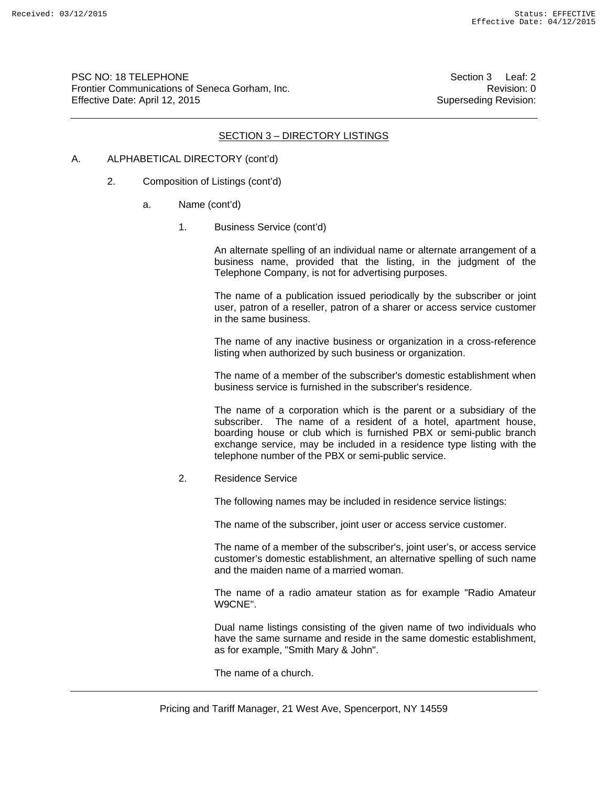PSC NO: 18 TELEPHONE Section 3 Leaf: 2 Frontier Communications of Seneca Gorham, Inc. **Revision: 0** Revision: 0 Effective Date: April 12, 2015 Superseding Revision:

#### SECTION 3 – DIRECTORY LISTINGS

#### A. ALPHABETICAL DIRECTORY (cont'd)

- 2. Composition of Listings (cont'd)
	- a. Name (cont'd)
		- 1. Business Service (cont'd)

An alternate spelling of an individual name or alternate arrangement of a business name, provided that the listing, in the judgment of the Telephone Company, is not for advertising purposes.

The name of a publication issued periodically by the subscriber or joint user, patron of a reseller, patron of a sharer or access service customer in the same business.

The name of any inactive business or organization in a cross-reference listing when authorized by such business or organization.

The name of a member of the subscriber's domestic establishment when business service is furnished in the subscriber's residence.

The name of a corporation which is the parent or a subsidiary of the subscriber. The name of a resident of a hotel, apartment house, boarding house or club which is furnished PBX or semi-public branch exchange service, may be included in a residence type listing with the telephone number of the PBX or semi-public service.

2. Residence Service

The following names may be included in residence service listings:

The name of the subscriber, joint user or access service customer.

The name of a member of the subscriber's, joint user's, or access service customer's domestic establishment, an alternative spelling of such name and the maiden name of a married woman.

The name of a radio amateur station as for example "Radio Amateur W9CNE".

Dual name listings consisting of the given name of two individuals who have the same surname and reside in the same domestic establishment, as for example, "Smith Mary & John".

The name of a church.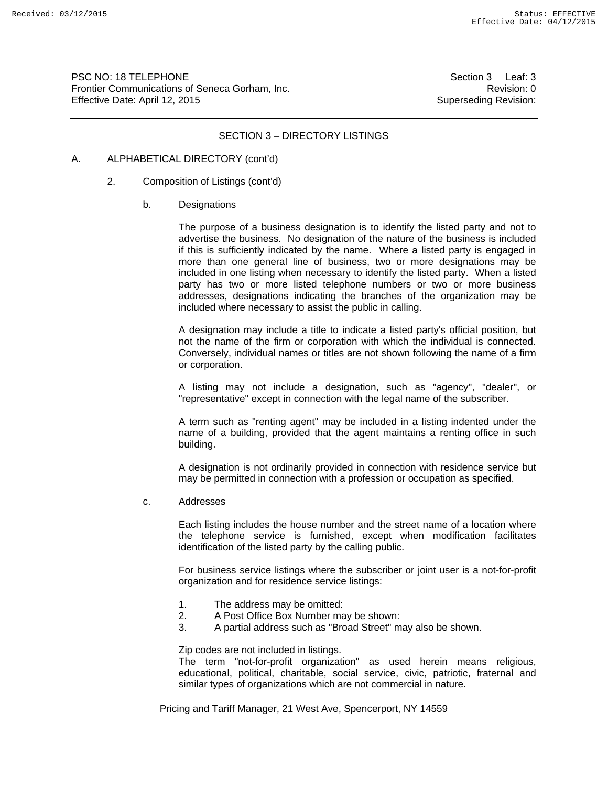PSC NO: 18 TELEPHONE Section 3 Leaf: 3 Frontier Communications of Seneca Gorham, Inc. **Revision: 0** Revision: 0 Effective Date: April 12, 2015 Superseding Revision:

## SECTION 3 – DIRECTORY LISTINGS

#### A. ALPHABETICAL DIRECTORY (cont'd)

- 2. Composition of Listings (cont'd)
	- b. Designations

The purpose of a business designation is to identify the listed party and not to advertise the business. No designation of the nature of the business is included if this is sufficiently indicated by the name. Where a listed party is engaged in more than one general line of business, two or more designations may be included in one listing when necessary to identify the listed party. When a listed party has two or more listed telephone numbers or two or more business addresses, designations indicating the branches of the organization may be included where necessary to assist the public in calling.

A designation may include a title to indicate a listed party's official position, but not the name of the firm or corporation with which the individual is connected. Conversely, individual names or titles are not shown following the name of a firm or corporation.

A listing may not include a designation, such as "agency", "dealer", or "representative" except in connection with the legal name of the subscriber.

A term such as "renting agent" may be included in a listing indented under the name of a building, provided that the agent maintains a renting office in such building.

A designation is not ordinarily provided in connection with residence service but may be permitted in connection with a profession or occupation as specified.

c. Addresses

Each listing includes the house number and the street name of a location where the telephone service is furnished, except when modification facilitates identification of the listed party by the calling public.

For business service listings where the subscriber or joint user is a not-for-profit organization and for residence service listings:

- 1. The address may be omitted:
- 2. A Post Office Box Number may be shown:
- 3. A partial address such as "Broad Street" may also be shown.

Zip codes are not included in listings.

The term "not-for-profit organization" as used herein means religious, educational, political, charitable, social service, civic, patriotic, fraternal and similar types of organizations which are not commercial in nature.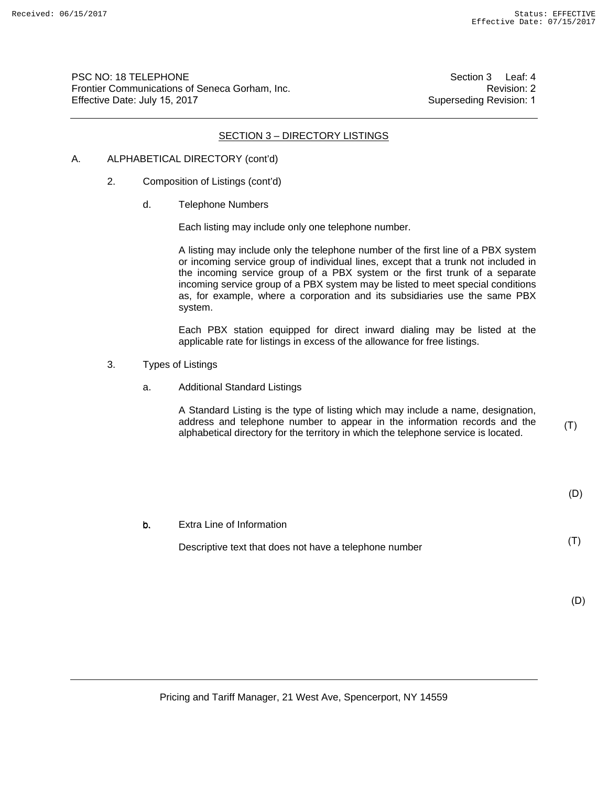PSC NO: 18 TELEPHONE Frontier Communications of Seneca Gorham, Inc. Effective Date: July 15, 2017

 Section 3 Leaf: 4 Revision: 2 Superseding Revision: 1

## SECTION 3 – DIRECTORY LISTINGS

# A. ALPHABETICAL DIRECTORY (cont'd)

- 2. Composition of Listings (cont'd)
	- d. Telephone Numbers

Each listing may include only one telephone number.

A listing may include only the telephone number of the first line of a PBX system or incoming service group of individual lines, except that a trunk not included in the incoming service group of a PBX system or the first trunk of a separate incoming service group of a PBX system may be listed to meet special conditions as, for example, where a corporation and its subsidiaries use the same PBX system.

Each PBX station equipped for direct inward dialing may be listed at the applicable rate for listings in excess of the allowance for free listings.

- 3. Types of Listings
	- a. Additional Standard Listings

A Standard Listing is the type of listing which may include a name, designation, address and telephone number to appear in the information records and the alphabetical directory for the territory in which the telephone service is located.

(T)

(T)

#### Extra Line of Information b.

Descriptive text that does not have a telephone number

(D)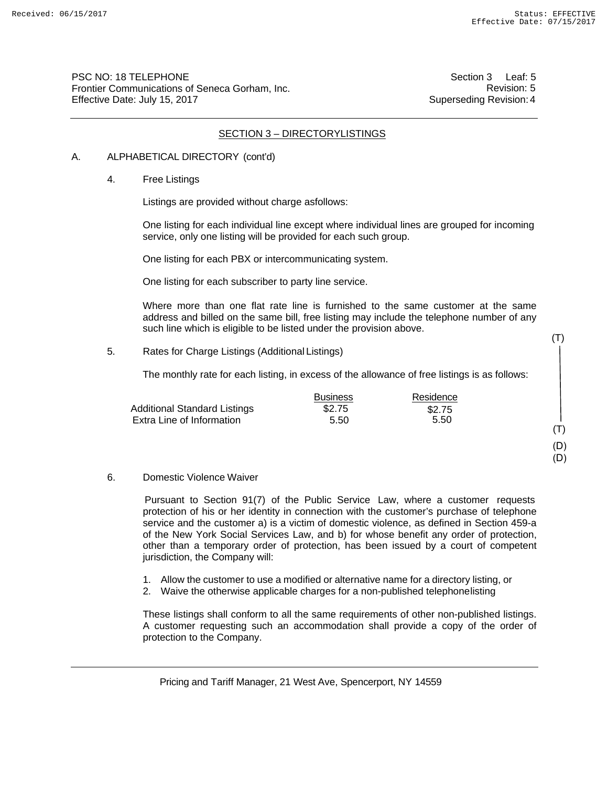(T)

(T) (D) (D)

PSC NO: 18 TELEPHONE Frontier Communications of Seneca Gorham, Inc. Effective Date: July 15, 2017

Section 3 Leaf: 5 Revision: 5 Superseding Revision: 4

# SECTION 3 – DIRECTORYLISTINGS

#### A. ALPHABETICAL DIRECTORY (cont'd)

#### 4. Free Listings

Listings are provided without charge asfollows:

One listing for each individual line except where individual lines are grouped for incoming service, only one listing will be provided for each such group.

One listing for each PBX or intercommunicating system.

One listing for each subscriber to party line service.

Where more than one flat rate line is furnished to the same customer at the same address and billed on the same bill, free listing may include the telephone number of any such line which is eligible to be listed under the provision above.

5. Rates for Charge Listings (Additional Listings)

The monthly rate for each listing, in excess of the allowance of free listings is as follows:

|                                     | <b>Business</b> | Residence |  |
|-------------------------------------|-----------------|-----------|--|
| <b>Additional Standard Listings</b> | \$2.75          | \$2.75    |  |
| Extra Line of Information           | 5.50            | 5.50      |  |
|                                     |                 |           |  |

#### 6. Domestic Violence Waiver

Pursuant to Section 91(7) of the Public Service Law, where a customer requests protection of his or her identity in connection with the customer's purchase of telephone service and the customer a) is a victim of domestic violence, as defined in Section 459-a of the New York Social Services Law, and b) for whose benefit any order of protection, other than a temporary order of protection, has been issued by a court of competent jurisdiction, the Company will:

- 1. Allow the customer to use a modified or alternative name for a directory listing, or
- 2. Waive the otherwise applicable charges for a non-published telephone listing

These listings shall conform to all the same requirements of other non-published listings. A customer requesting such an accommodation shall provide a copy of the order of protection to the Company.

Pricing and Tariff Manager, 21 West Ave, Spencerport, NY 14559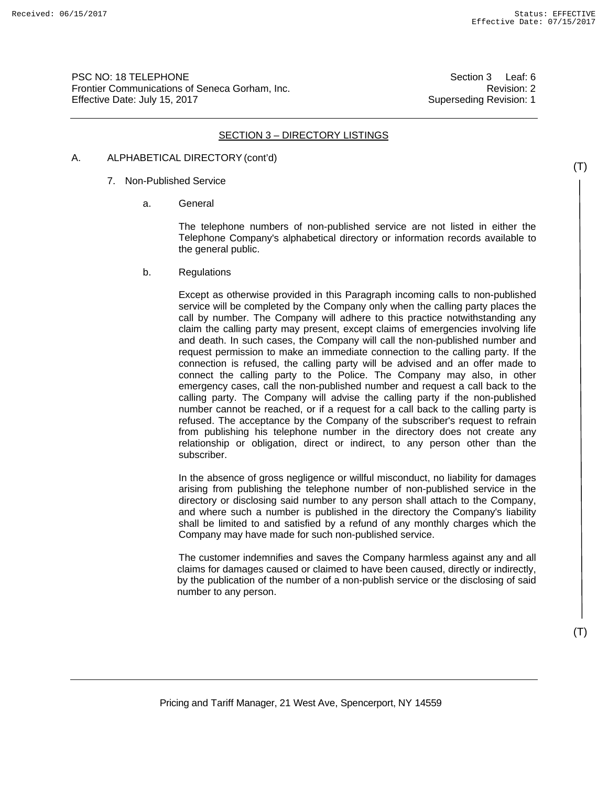PSC NO: 18 TELEPHONE Frontier Communications of Seneca Gorham, Inc. Effective Date: July 15, 2017

Section 3 Leaf: 6 Revision: 2 Superseding Revision: 1

## SECTION 3 – DIRECTORY LISTINGS

## A. ALPHABETICAL DIRECTORY (cont'd)

- 7. Non-Published Service
	- a. General

The telephone numbers of non-published service are not listed in either the Telephone Company's alphabetical directory or information records available to the general public.

b. Regulations

Except as otherwise provided in this Paragraph incoming calls to non-published service will be completed by the Company only when the calling party places the call by number. The Company will adhere to this practice notwithstanding any claim the calling party may present, except claims of emergencies involving life and death. In such cases, the Company will call the non-published number and request permission to make an immediate connection to the calling party. If the connection is refused, the calling party will be advised and an offer made to connect the calling party to the Police. The Company may also, in other emergency cases, call the non-published number and request a call back to the calling party. The Company will advise the calling party if the non-published number cannot be reached, or if a request for a call back to the calling party is refused. The acceptance by the Company of the subscriber's request to refrain from publishing his telephone number in the directory does not create any relationship or obligation, direct or indirect, to any person other than the subscriber.

In the absence of gross negligence or willful misconduct, no liability for damages arising from publishing the telephone number of non-published service in the directory or disclosing said number to any person shall attach to the Company, and where such a number is published in the directory the Company's liability shall be limited to and satisfied by a refund of any monthly charges which the Company may have made for such non-published service.

The customer indemnifies and saves the Company harmless against any and all claims for damages caused or claimed to have been caused, directly or indirectly, by the publication of the number of a non-publish service or the disclosing of said number to any person.

(T)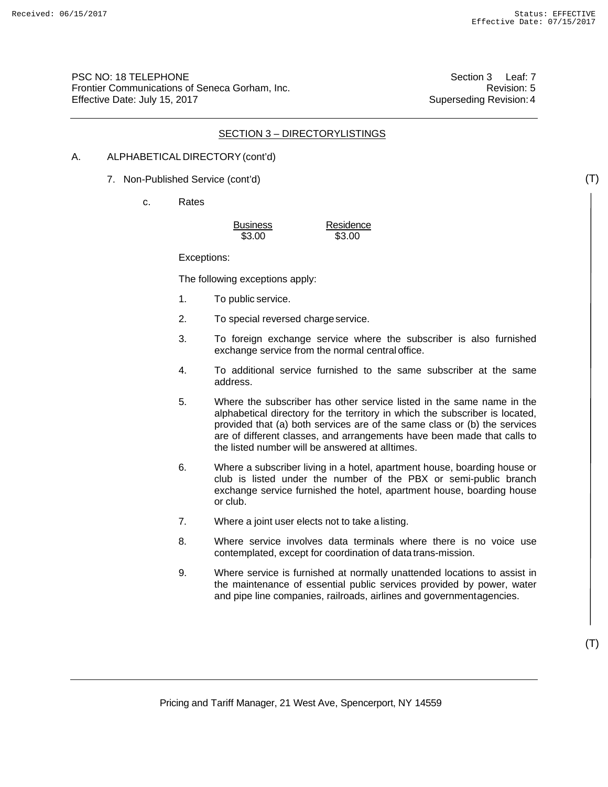PSC NO: 18 TELEPHONE Frontier Communications of Seneca Gorham, Inc. Effective Date: July 15, 2017

Section 3 Leaf: 7 Revision: 5 Superseding Revision: 4

# SECTION 3 – DIRECTORYLISTINGS

#### A. ALPHABETICAL DIRECTORY (cont'd)

- 7. Non-Published Service (cont'd)
	- c. Rates

| <b>Business</b> | Residence |
|-----------------|-----------|
| \$3.00          | \$3.00    |

Exceptions:

The following exceptions apply:

- 1. To public service.
- 2. To special reversed charge service.
- 3. To foreign exchange service where the subscriber is also furnished exchange service from the normal central office.
- 4. To additional service furnished to the same subscriber at the same address.
- 5. Where the subscriber has other service listed in the same name in the alphabetical directory for the territory in which the subscriber is located, provided that (a) both services are of the same class or (b) the services are of different classes, and arrangements have been made that calls to the listed number will be answered at alltimes.
- 6. Where a subscriber living in a hotel, apartment house, boarding house or club is listed under the number of the PBX or semi-public branch exchange service furnished the hotel, apartment house, boarding house or club.
- 7. Where a joint user elects not to take a listing.
- 8. Where service involves data terminals where there is no voice use contemplated, except for coordination of data trans-mission.
- 9. Where service is furnished at normally unattended locations to assist in the maintenance of essential public services provided by power, water and pipe line companies, railroads, airlines and government agencies.

(T)

(T)